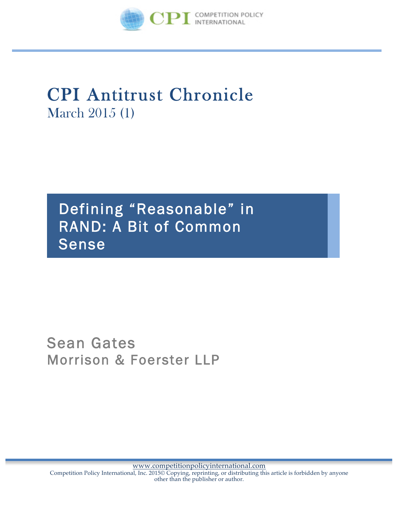

# CPI Antitrust Chronicle March 2015 (1)

Defining "Reasonable" in RAND: A Bit of Common Sense

# Sean Gates Morrison & Foerster LLP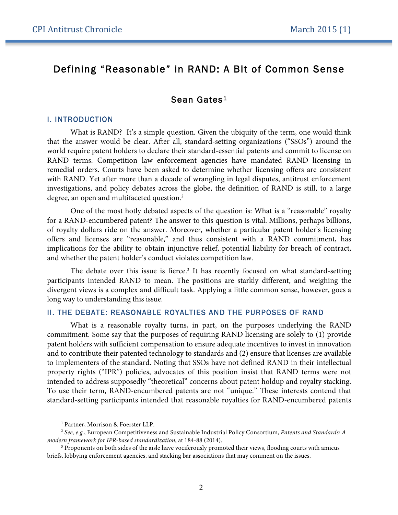## Defining "Reasonable" in RAND: A Bit of Common Sense

### Sean Gates<sup>1</sup>

#### I. INTRODUCTION

What is RAND? It's a simple question. Given the ubiquity of the term, one would think that the answer would be clear. After all, standard-setting organizations ("SSOs") around the world require patent holders to declare their standard-essential patents and commit to license on RAND terms. Competition law enforcement agencies have mandated RAND licensing in remedial orders. Courts have been asked to determine whether licensing offers are consistent with RAND. Yet after more than a decade of wrangling in legal disputes, antitrust enforcement investigations, and policy debates across the globe, the definition of RAND is still, to a large degree, an open and multifaceted question.<sup>2</sup>

One of the most hotly debated aspects of the question is: What is a "reasonable" royalty for a RAND-encumbered patent? The answer to this question is vital. Millions, perhaps billions, of royalty dollars ride on the answer. Moreover, whether a particular patent holder's licensing offers and licenses are "reasonable," and thus consistent with a RAND commitment, has implications for the ability to obtain injunctive relief, potential liability for breach of contract, and whether the patent holder's conduct violates competition law.

The debate over this issue is fierce.<sup>3</sup> It has recently focused on what standard-setting participants intended RAND to mean. The positions are starkly different, and weighing the divergent views is a complex and difficult task. Applying a little common sense, however, goes a long way to understanding this issue.

#### II. THE DEBATE: REASONABLE ROYALTIES AND THE PURPOSES OF RAND

What is a reasonable royalty turns, in part, on the purposes underlying the RAND commitment. Some say that the purposes of requiring RAND licensing are solely to (1) provide patent holders with sufficient compensation to ensure adequate incentives to invest in innovation and to contribute their patented technology to standards and (2) ensure that licenses are available to implementers of the standard. Noting that SSOs have not defined RAND in their intellectual property rights ("IPR") policies, advocates of this position insist that RAND terms were not intended to address supposedly "theoretical" concerns about patent holdup and royalty stacking. To use their term, RAND-encumbered patents are not "unique." These interests contend that standard-setting participants intended that reasonable royalties for RAND-encumbered patents

 $\overline{a}$ 

<sup>&</sup>lt;sup>1</sup> Partner, Morrison & Foerster LLP.

<sup>2</sup> *See, e.g.*, European Competitiveness and Sustainable Industrial Policy Consortium, *Patents and Standards: A modern framework for IPR-based standardization*, at 184-88 (2014).

<sup>&</sup>lt;sup>3</sup> Proponents on both sides of the aisle have vociferously promoted their views, flooding courts with amicus briefs, lobbying enforcement agencies, and stacking bar associations that may comment on the issues.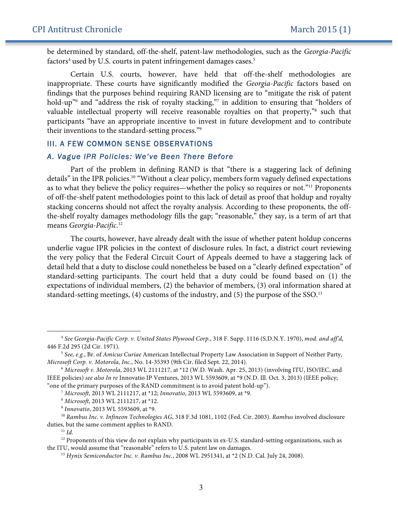be determined by standard, off-the-shelf, patent-law methodologies, such as the *Georgia-Pacific* factors<sup>4</sup> used by U.S. courts in patent infringement damages cases.<sup>5</sup>

Certain U.S. courts, however, have held that off-the-shelf methodologies are inappropriate. These courts have significantly modified the *Georgia-Pacific* factors based on findings that the purposes behind requiring RAND licensing are to "mitigate the risk of patent hold-up<sup>"6</sup> and "address the risk of royalty stacking,"<sup>7</sup> in addition to ensuring that "holders of valuable intellectual property will receive reasonable royalties on that property,"8 such that participants "have an appropriate incentive to invest in future development and to contribute their inventions to the standard-setting process."9

#### III. A FEW COMMON SENSE OBSERVATIONS

#### *A. Vague IPR Policies: We've Been There Before*

Part of the problem in defining RAND is that "there is a staggering lack of defining details" in the IPR policies.<sup>10</sup> "Without a clear policy, members form vaguely defined expectations as to what they believe the policy requires—whether the policy so requires or not."11 Proponents of off-the-shelf patent methodologies point to this lack of detail as proof that holdup and royalty stacking concerns should not affect the royalty analysis. According to these proponents, the offthe-shelf royalty damages methodology fills the gap; "reasonable," they say, is a term of art that means *Georgia-Pacific*. 12

The courts, however, have already dealt with the issue of whether patent holdup concerns underlie vague IPR policies in the context of disclosure rules. In fact, a district court reviewing the very policy that the Federal Circuit Court of Appeals deemed to have a staggering lack of detail held that a duty to disclose could nonetheless be based on a "clearly defined expectation" of standard-setting participants. The court held that a duty could be found based on (1) the expectations of individual members, (2) the behavior of members, (3) oral information shared at standard-setting meetings, (4) customs of the industry, and (5) the purpose of the SSO. 13

<sup>11</sup> *Id.*

 $\overline{a}$ 

<sup>4</sup> *See Georgia-Pacific Corp. v. United States Plywood Corp.*, 318 F. Supp. 1116 (S.D.N.Y. 1970), *mod. and aff'd*, 446 F.2d 295 (2d Cir. 1971).

<sup>5</sup> *See, e.g.*, Br. of *Amicus Curiae* American Intellectual Property Law Association in Support of Neither Party, *Microsoft Corp. v. Motorola, Inc.*, No. 14-35393 (9th Cir. filed Sept. 22, 2014). 6 *Microsoft v. Motorola*, 2013 WL 2111217, at \*12 (W.D. Wash. Apr. 25, 2013) (involving ITU, ISO/IEC, and

IEEE policies) *see also In re* Innovatio IP Ventures, 2013 WL 5593609, at \*9 (N.D. Ill. Oct. 3, 2013) (IEEE policy; "one of the primary purposes of the RAND commitment is to avoid patent hold-up").

<sup>7</sup> *Microsoft*, 2013 WL 2111217, at \*12; *Innovatio*, 2013 WL 5593609, at \*9. 8 *Microsoft*, 2013 WL 2111217, at \*12.

<sup>9</sup> *Innovatio*, 2013 WL 5593609, at \*9.

<sup>10</sup> *Rambus Inc. v. Infineon Technologies AG*, 318 F.3d 1081, 1102 (Fed. Cir. 2003). *Rambus* involved disclosure duties, but the same comment applies to RAND.

<sup>&</sup>lt;sup>12</sup> Proponents of this view do not explain why participants in ex-U.S. standard-setting organizations, such as the ITU, would assume that "reasonable" refers to U.S. patent law on damages.

<sup>13</sup> *Hynix Semiconductor Inc. v. Rambus Inc.*, 2008 WL 2951341, at \*2 (N.D. Cal. July 24, 2008).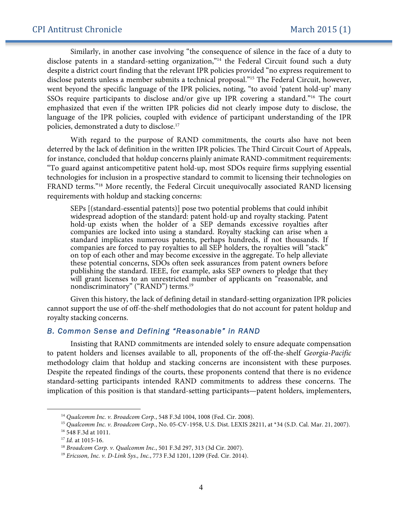Similarly, in another case involving "the consequence of silence in the face of a duty to disclose patents in a standard-setting organization,"<sup>14</sup> the Federal Circuit found such a duty despite a district court finding that the relevant IPR policies provided "no express requirement to disclose patents unless a member submits a technical proposal."15 The Federal Circuit, however, went beyond the specific language of the IPR policies, noting, "to avoid 'patent hold-up' many SSOs require participants to disclose and/or give up IPR covering a standard."<sup>16</sup> The court emphasized that even if the written IPR policies did not clearly impose duty to disclose, the language of the IPR policies, coupled with evidence of participant understanding of the IPR policies, demonstrated a duty to disclose.17

With regard to the purpose of RAND commitments, the courts also have not been deterred by the lack of definition in the written IPR policies. The Third Circuit Court of Appeals, for instance, concluded that holdup concerns plainly animate RAND-commitment requirements: "To guard against anticompetitive patent hold-up, most SDOs require firms supplying essential technologies for inclusion in a prospective standard to commit to licensing their technologies on FRAND terms."18 More recently, the Federal Circuit unequivocally associated RAND licensing requirements with holdup and stacking concerns:

SEPs [(standard-essential patents)] pose two potential problems that could inhibit widespread adoption of the standard: patent hold-up and royalty stacking. Patent hold-up exists when the holder of a SEP demands excessive royalties after companies are locked into using a standard. Royalty stacking can arise when a standard implicates numerous patents, perhaps hundreds, if not thousands. If companies are forced to pay royalties to all SEP holders, the royalties will "stack" on top of each other and may become excessive in the aggregate. To help alleviate these potential concerns, SDOs often seek assurances from patent owners before publishing the standard. IEEE, for example, asks SEP owners to pledge that they will grant licenses to an unrestricted number of applicants on "reasonable, and nondiscriminatory" ("RAND") terms.<sup>19</sup>

Given this history, the lack of defining detail in standard-setting organization IPR policies cannot support the use of off-the-shelf methodologies that do not account for patent holdup and royalty stacking concerns.

#### *B. Common Sense and Defining "Reasonable" in RAND*

Insisting that RAND commitments are intended solely to ensure adequate compensation to patent holders and licenses available to all, proponents of the off-the-shelf *Georgia-Pacific* methodology claim that holdup and stacking concerns are inconsistent with these purposes. Despite the repeated findings of the courts, these proponents contend that there is no evidence standard-setting participants intended RAND commitments to address these concerns. The implication of this position is that standard-setting participants—patent holders, implementers,

 $\overline{a}$ 

<sup>14</sup> *Qualcomm Inc. v. Broadcom Corp.*, 548 F.3d 1004, 1008 (Fed. Cir. 2008).

<sup>15</sup> *Qualcomm Inc. v. Broadcom Corp.*, No. 05-CV-1958, U.S. Dist. LEXIS 28211, at \*34 (S.D. Cal. Mar. 21, 2007). <sup>16</sup> 548 F.3d at 1011.

<sup>17</sup> *Id.* at 1015-16.

<sup>18</sup> *Broadcom Corp. v. Qualcomm Inc.*, 501 F.3d 297, 313 (3d Cir. 2007).

<sup>19</sup> *Ericsson, Inc. v. D-Link Sys., Inc.*, 773 F.3d 1201, 1209 (Fed. Cir. 2014).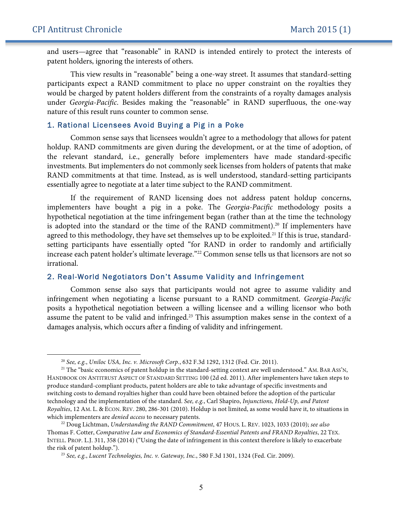$\overline{a}$ 

and users—agree that "reasonable" in RAND is intended entirely to protect the interests of patent holders, ignoring the interests of others.

This view results in "reasonable" being a one-way street. It assumes that standard-setting participants expect a RAND commitment to place no upper constraint on the royalties they would be charged by patent holders different from the constraints of a royalty damages analysis under *Georgia-Pacific*. Besides making the "reasonable" in RAND superfluous, the one-way nature of this result runs counter to common sense.

#### 1. Rational Licensees Avoid Buying a Pig in a Poke

Common sense says that licensees wouldn't agree to a methodology that allows for patent holdup. RAND commitments are given during the development, or at the time of adoption, of the relevant standard, i.e., generally before implementers have made standard-specific investments. But implementers do not commonly seek licenses from holders of patents that make RAND commitments at that time. Instead, as is well understood, standard-setting participants essentially agree to negotiate at a later time subject to the RAND commitment.

If the requirement of RAND licensing does not address patent holdup concerns, implementers have bought a pig in a poke. The *Georgia-Pacific* methodology posits a hypothetical negotiation at the time infringement began (rather than at the time the technology is adopted into the standard or the time of the RAND commitment).<sup>20</sup> If implementers have agreed to this methodology, they have set themselves up to be exploited.<sup>21</sup> If this is true, standardsetting participants have essentially opted "for RAND in order to randomly and artificially increase each patent holder's ultimate leverage."<sup>22</sup> Common sense tells us that licensors are not so irrational.

#### 2. Real-World Negotiators Don't Assume Validity and Infringement

Common sense also says that participants would not agree to assume validity and infringement when negotiating a license pursuant to a RAND commitment. *Georgia-Pacific* posits a hypothetical negotiation between a willing licensee and a willing licensor who both assume the patent to be valid and infringed. <sup>23</sup> This assumption makes sense in the context of a damages analysis, which occurs after a finding of validity and infringement.

<sup>&</sup>lt;sup>20</sup> *See, e.g., Uniloc USA, Inc. v. Microsoft Corp.*, 632 F.3d 1292, 1312 (Fed. Cir. 2011).<br><sup>21</sup> The "basic economics of patent holdup in the standard-setting context are well understood." AM. BAR Ass'N, HANDBOOK ON ANTITRUST ASPECT OF STANDARD SETTING 100 (2d ed. 2011). After implementers have taken steps to produce standard-compliant products, patent holders are able to take advantage of specific investments and switching costs to demand royalties higher than could have been obtained before the adoption of the particular technology and the implementation of the standard. *See, e.g.*, Carl Shapiro, *Injunctions, Hold-Up, and Patent Royalties*, 12 AM. L. & ECON. REV. 280, 286-301 (2010). Holdup is not limited, as some would have it, to situations in which implementers are *denied access* to necessary patents.

<sup>22</sup> Doug Lichtman, *Understanding the RAND Commitment*, 47 HOUS. L. REV. 1023, 1033 (2010); *see also* Thomas F. Cotter, *Comparative Law and Economics of Standard-Essential Patents and FRAND Royalties*, 22 TEX. INTELL. PROP. L.J. 311, 358 (2014) ("Using the date of infringement in this context therefore is likely to exacerbate the risk of patent holdup.").

<sup>23</sup> *See, e.g.*, *Lucent Technologies, Inc. v. Gateway, Inc.*, 580 F.3d 1301, 1324 (Fed. Cir. 2009).